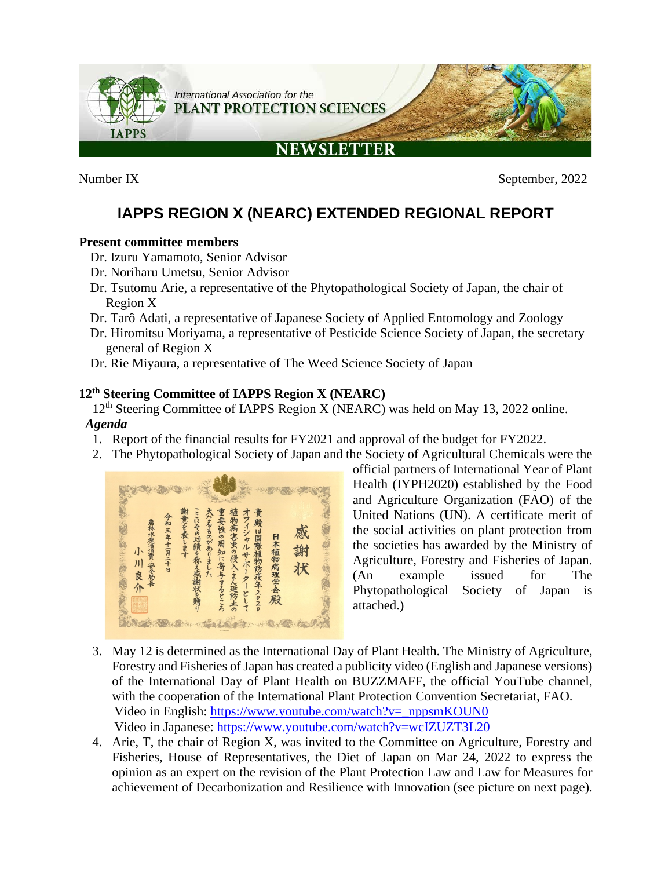

Number IX September, 2022

# **IAPPS REGION X (NEARC) EXTENDED REGIONAL REPORT**

# **Present committee members**

- Dr. Izuru Yamamoto, Senior Advisor
- Dr. Noriharu Umetsu, Senior Advisor
- Dr. Tsutomu Arie, a representative of the Phytopathological Society of Japan, the chair of Region X
- Dr. Tarô Adati, a representative of Japanese Society of Applied Entomology and Zoology
- Dr. Hiromitsu Moriyama, a representative of Pesticide Science Society of Japan, the secretary general of Region X
- Dr. Rie Miyaura, a representative of The Weed Science Society of Japan

# **12th Steering Committee of IAPPS Region X (NEARC)**

12<sup>th</sup> Steering Committee of IAPPS Region X (NEARC) was held on May 13, 2022 online. *Agenda*

- 1. Report of the financial results for FY2021 and approval of the budget for FY2022.
- 2. The Phytopathological Society of Japan and the Society of Agricultural Chemicals were the



official partners of International Year of Plant Health (IYPH2020) established by the Food and Agriculture Organization (FAO) of the United Nations (UN). A certificate merit of the social activities on plant protection from the societies has awarded by the Ministry of Agriculture, Forestry and Fisheries of Japan. (An example issued for The Phytopathological Society of Japan is attached.)

- 3. May 12 is determined as the International Day of Plant Health. The Ministry of Agriculture, Forestry and Fisheries of Japan has created a publicity video (English and Japanese versions) of the International Day of Plant Health on BUZZMAFF, the official YouTube channel, with the cooperation of the International Plant Protection Convention Secretariat, FAO. Video in English: [https://www.youtube.com/watch?v=\\_nppsmKOUN0](https://www.youtube.com/watch?v=_nppsmKOUN0) Video in Japanese:<https://www.youtube.com/watch?v=wcIZUZT3L20>
- 4. Arie, T, the chair of Region X, was invited to the Committee on Agriculture, Forestry and Fisheries, House of Representatives, the Diet of Japan on Mar 24, 2022 to express the opinion as an expert on the revision of the Plant Protection Law and Law for Measures for achievement of Decarbonization and Resilience with Innovation (see picture on next page).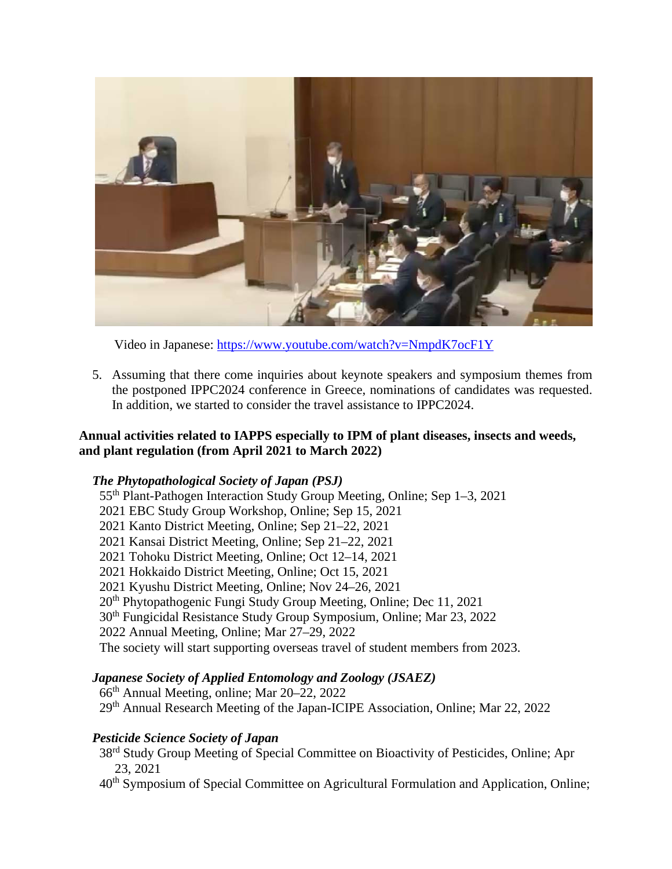

Video in Japanese:<https://www.youtube.com/watch?v=NmpdK7ocF1Y>

5. Assuming that there come inquiries about keynote speakers and symposium themes from the postponed IPPC2024 conference in Greece, nominations of candidates was requested. In addition, we started to consider the travel assistance to IPPC2024.

# **Annual activities related to IAPPS especially to IPM of plant diseases, insects and weeds, and plant regulation (from April 2021 to March 2022)**

# *The Phytopathological Society of Japan (PSJ)*

55th Plant-Pathogen Interaction Study Group Meeting, Online; Sep 1–3, 2021 2021 EBC Study Group Workshop, Online; Sep 15, 2021 2021 Kanto District Meeting, Online; Sep 21–22, 2021 2021 Kansai District Meeting, Online; Sep 21–22, 2021 2021 Tohoku District Meeting, Online; Oct 12–14, 2021 2021 Hokkaido District Meeting, Online; Oct 15, 2021 2021 Kyushu District Meeting, Online; Nov 24–26, 2021 20<sup>th</sup> Phytopathogenic Fungi Study Group Meeting, Online; Dec 11, 2021 30th Fungicidal Resistance Study Group Symposium, Online; Mar 23, 2022 2022 Annual Meeting, Online; Mar 27–29, 2022 The society will start supporting overseas travel of student members from 2023.

# *Japanese Society of Applied Entomology and Zoology (JSAEZ)*

66th Annual Meeting, online; Mar 20–22, 2022 29th Annual Research Meeting of the Japan-ICIPE Association, Online; Mar 22, 2022

# *Pesticide Science Society of Japan*

38<sup>rd</sup> Study Group Meeting of Special Committee on Bioactivity of Pesticides, Online; Apr 23, 2021

40th Symposium of Special Committee on Agricultural Formulation and Application, Online;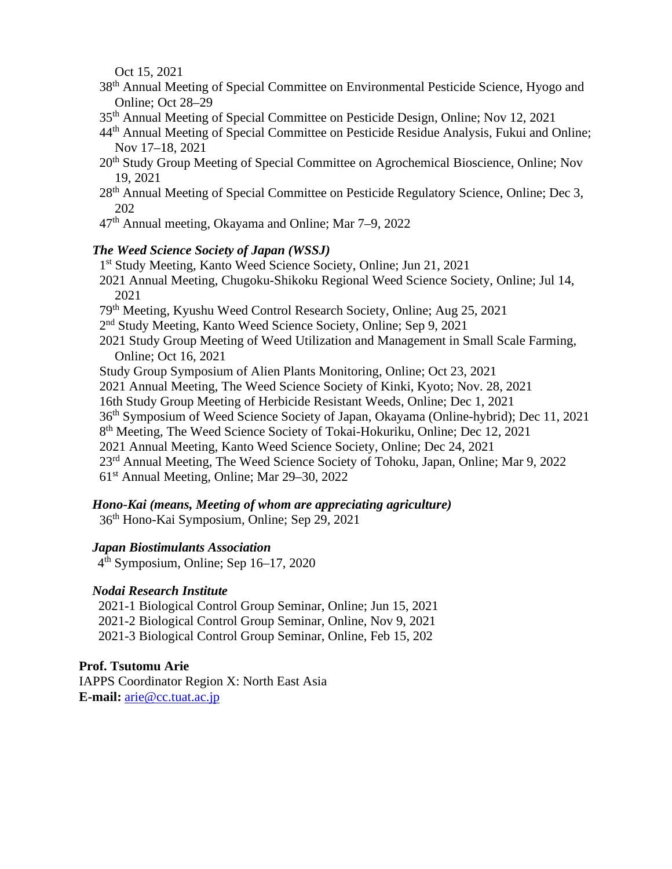Oct 15, 2021

- 38th Annual Meeting of Special Committee on Environmental Pesticide Science, Hyogo and Online; Oct 28–29
- 35th Annual Meeting of Special Committee on Pesticide Design, Online; Nov 12, 2021
- 44th Annual Meeting of Special Committee on Pesticide Residue Analysis, Fukui and Online; Nov 17–18, 2021
- 20<sup>th</sup> Study Group Meeting of Special Committee on Agrochemical Bioscience, Online; Nov 19, 2021
- 28<sup>th</sup> Annual Meeting of Special Committee on Pesticide Regulatory Science, Online; Dec 3, 202
- 47th Annual meeting, Okayama and Online; Mar 7–9, 2022

#### *The Weed Science Society of Japan (WSSJ)*

- 1st Study Meeting, Kanto Weed Science Society, Online; Jun 21, 2021
- 2021 Annual Meeting, Chugoku-Shikoku Regional Weed Science Society, Online; Jul 14, 2021
- 79th Meeting, Kyushu Weed Control Research Society, Online; Aug 25, 2021
- 2nd Study Meeting, Kanto Weed Science Society, Online; Sep 9, 2021
- 2021 Study Group Meeting of Weed Utilization and Management in Small Scale Farming, Online; Oct 16, 2021
- Study Group Symposium of Alien Plants Monitoring, Online; Oct 23, 2021
- 2021 Annual Meeting, The Weed Science Society of Kinki, Kyoto; Nov. 28, 2021
- 16th Study Group Meeting of Herbicide Resistant Weeds, Online; Dec 1, 2021
- 36th Symposium of Weed Science Society of Japan, Okayama (Online-hybrid); Dec 11, 2021
- 8th Meeting, The Weed Science Society of Tokai-Hokuriku, Online; Dec 12, 2021
- 2021 Annual Meeting, Kanto Weed Science Society, Online; Dec 24, 2021
- 23rd Annual Meeting, The Weed Science Society of Tohoku, Japan, Online; Mar 9, 2022
- 61st Annual Meeting, Online; Mar 29–30, 2022

#### *Hono-Kai (means, Meeting of whom are appreciating agriculture)*

36th Hono-Kai Symposium, Online; Sep 29, 2021

#### *Japan Biostimulants Association*

 $4<sup>th</sup>$  Symposium, Online; Sep 16–17, 2020

#### *Nodai Research Institute*

2021-1 Biological Control Group Seminar, Online; Jun 15, 2021 2021-2 Biological Control Group Seminar, Online, Nov 9, 2021 2021-3 Biological Control Group Seminar, Online, Feb 15, 202

#### **Prof. Tsutomu Arie**

IAPPS Coordinator Region X: North East Asia **E-mail:** [arie@cc.tuat.ac.jp](mailto:arie@cc.tuat.ac.jp)